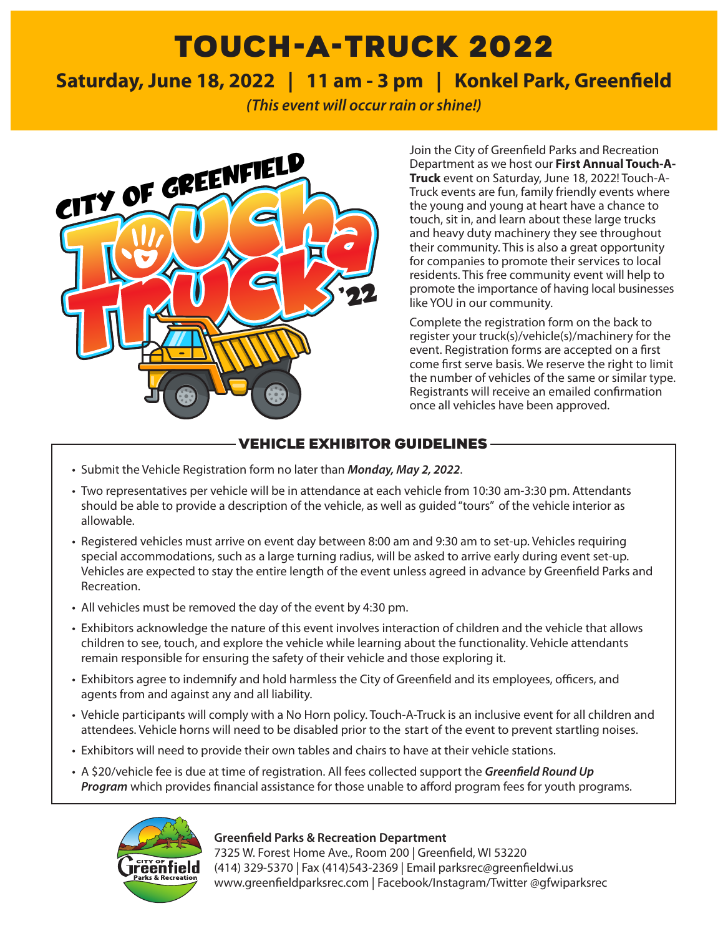# TOUCH-A-TRUCK 2022

# **Saturday, June 18, 2022 | 11 am - 3 pm | Konkel Park, Greenfield**

*(This event will occur rain or shine!)*



Department as we host our **First Annual Touch-A-Truck** event on Saturday, June 18, 2022! Touch-A-Truck events are fun, family friendly events where the young and young at heart have a chance to touch, sit in, and learn about these large trucks and heavy duty machinery they see throughout their community. This is also a great opportunity for companies to promote their services to local residents. This free community event will help to promote the importance of having local businesses like YOU in our community.

Complete the registration form on the back to register your truck(s)/vehicle(s)/machinery for the event. Registration forms are accepted on a first come first serve basis. We reserve the right to limit the number of vehicles of the same or similar type. Registrants will receive an emailed confirmation once all vehicles have been approved.

## VEHICLE EXHIBITOR GUIDELINES

- Submit the Vehicle Registration form no later than *Monday, May 2, 2022*.
- Two representatives per vehicle will be in attendance at each vehicle from 10:30 am-3:30 pm. Attendants should be able to provide a description of the vehicle, as well as guided "tours" of the vehicle interior as allowable.
- Registered vehicles must arrive on event day between 8:00 am and 9:30 am to set-up. Vehicles requiring special accommodations, such as a large turning radius, will be asked to arrive early during event set-up. Vehicles are expected to stay the entire length of the event unless agreed in advance by Greenfield Parks and Recreation.
- All vehicles must be removed the day of the event by 4:30 pm.
- Exhibitors acknowledge the nature of this event involves interaction of children and the vehicle that allows children to see, touch, and explore the vehicle while learning about the functionality. Vehicle attendants remain responsible for ensuring the safety of their vehicle and those exploring it.
- Exhibitors agree to indemnify and hold harmless the City of Greenfield and its employees, officers, and agents from and against any and all liability.
- Vehicle participants will comply with a No Horn policy. Touch-A-Truck is an inclusive event for all children and attendees. Vehicle horns will need to be disabled prior to the start of the event to prevent startling noises.
- Exhibitors will need to provide their own tables and chairs to have at their vehicle stations.
- A \$20/vehicle fee is due at time of registration. All fees collected support the *Greenfield Round Up Program* which provides financial assistance for those unable to afford program fees for youth programs.



#### **Greenfield Parks & Recreation Department**

7325 W. Forest Home Ave., Room 200 | Greenfield, WI 53220 (414) 329-5370 | Fax (414)543-2369 | Email parksrec@greenfieldwi.us www.greenfieldparksrec.com | Facebook/Instagram/Twitter @gfwiparksrec